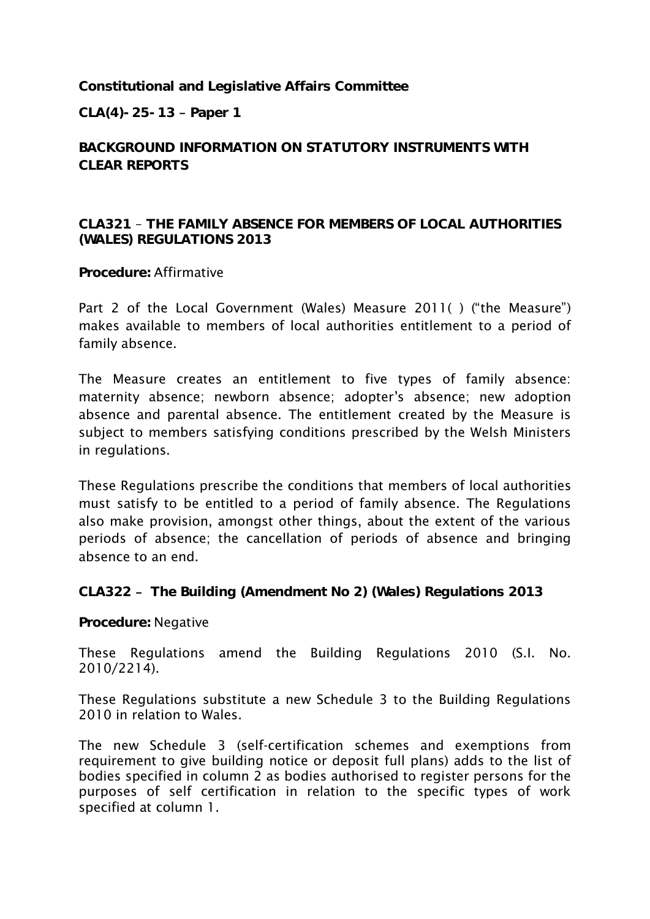**Constitutional and Legislative Affairs Committee**

**CLA(4)-25-13 Paper 1**

**BACKGROUND INFORMATION ON STATUTORY INSTRUMENTS WITH CLEAR REPORTS**

**CLA321** – **THE FAMILY ABSENCE FOR MEMBERS OF LOCAL AUTHORITIES (WALES) REGULATIONS 2013**

**Procedure:** Affirmative

Part 2 of the Local Government (Wales) Measure 2011( ) ("the Measure") makes available to members of local authorities entitlement to a period of family absence.

The Measure creates an entitlement to five types of family absence: maternity absence; newborn absence; adopter's absence; new adoption absence and parental absence. The entitlement created by the Measure is subject to members satisfying conditions prescribed by the Welsh Ministers in regulations.

These Regulations prescribe the conditions that members of local authorities must satisfy to be entitled to a period of family absence. The Regulations also make provision, amongst other things, about the extent of the various periods of absence; the cancellation of periods of absence and bringing absence to an end.

**CLA322 The Building (Amendment No 2) (Wales) Regulations 2013**

**Procedure:** Negative

These Regulations amend the Building Regulations 2010 (S.I. No. 2010/2214).

These Regulations substitute a new Schedule 3 to the Building Regulations 2010 in relation to Wales.

The new Schedule 3 (self-certification schemes and exemptions from requirement to give building notice or deposit full plans) adds to the list of bodies specified in column 2 as bodies authorised to register persons for the purposes of self certification in relation to the specific types of work specified at column 1.